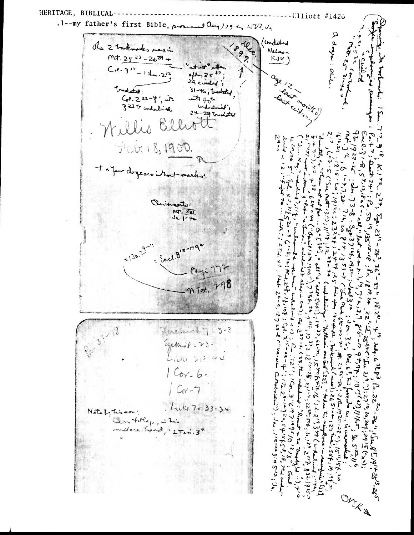HERITAGE, BIBLICAL-----

 $---L1liott #1426$ .1--my father's first Bible, processed any/79  $t_1$  (JV?,  $J_2$ ) a doze: sense **Marie 52 and** -lee  $\frac{1}{2}$ (underband The 2 tooknotes mars in Nelson  $mt.2523 - 2629$  $KJV$  $C_{0}$ e - 3<sup>12</sup> - 1 dre - 2<sup>12</sup> Î  $44 - 25^{27}$ ; age 12 index ; 31-46, brodeted, tradated: lagy Land rom invonted with you  $C_{0}$  ,  $2z-4'$ , with 323 to undalively underlined;  $24 - 29$  backeted Willis Elliot ら  $29 - n$ الوالواني  $\overline{r}$  $12177$  $4.2024$  $\mathcal{L}$ بسرجوا  $\tilde{\mathcal{L}}$  $5^{7,12,18}$ a ( -  $40$ )  $\frac{1}{2}$  $\sum$ ζ 1913c ; 2323 Onimorts:  $3 - 8 - 5$ MT. VUI  $195/25/5$ **PA**  $\widetilde{\zeta}$  $J_{2}$ ,  $1 - 42$  $-5^{13} -$ Let us on p.  $= 12n^2$  $-$  Eccl. 815-1794  $\sum_{k=1}^{n}$  $1353 - 7$ ナイナ Page 172<br>n Tot. 798  $36^5 - 37$ Reader 14, 108 ; Co  $:444.26-9.18724$ さんきょう  $25.75$  $5.25$  $16.2^{4}$  $\tilde{\sim}$  $\mathcal{V}^{12}$ Married 7:3-8  $10^{33}$ Egelbrid - 23. Luke  $212 + 4$  $44451$ 51,859  $5 - 35 - 55$  $\mathcal{A}$  (  $\mathbf{a}$  and  $Cov - b$ this indeed in a ノアン・2 いきりょうちょうちょう うち アーム こうえん  $25^{11.4}$ J  $Cov-7$ .20 31-7 - 27 7 - 27 384 . 3  $1:27^{10},20,$  $3''6'$  (  $5'$  )  $3'$  ( $5'$  )  $3'$  $4.249$  $32^{37.54}$ ,  $0.1^{33}$ ,  $2^{15}$  $Lule7733-34$  $\delta$ ه<br>ج Notely timeon:  $1922 - 2$ こんご  $1^{1/2}-2^{1/2-22}$  3/95/2;  $1/4$ Questilep, in his بر<br>ج to commented  $: 2a.53216$  $\ddot{\dot{\delta}}$ رم<br>تر aver - recupie 133]  $-51.56$  $\bar{a}$  $\mathcal{F}_{\text{re}}(x, y, z)$  $5.8321925$  $\frac{1}{2}$ West P ັ<br>ເ ONER V